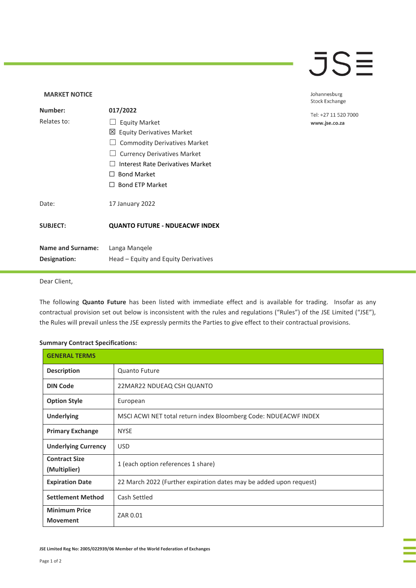## **JSE**

Johannesburg

### **MARKET NOTICE**

|                          |                                         | <b>Stock Exchange</b> |
|--------------------------|-----------------------------------------|-----------------------|
| Number:                  | 017/2022                                | Tel: +27 11 520 7000  |
| Relates to:              | <b>Equity Market</b>                    | www.jse.co.za         |
|                          | $\boxtimes$ Equity Derivatives Market   |                       |
|                          | <b>Commodity Derivatives Market</b>     |                       |
|                          | <b>Currency Derivatives Market</b>      |                       |
|                          | <b>Interest Rate Derivatives Market</b> |                       |
|                          | <b>Bond Market</b><br>$\perp$           |                       |
|                          | <b>Bond ETP Market</b><br>$\perp$       |                       |
| Date:                    | 17 January 2022                         |                       |
| <b>SUBJECT:</b>          | <b>QUANTO FUTURE - NDUEACWF INDEX</b>   |                       |
| <b>Name and Surname:</b> | Langa Mangele                           |                       |
| Designation:             | Head – Equity and Equity Derivatives    |                       |
|                          |                                         |                       |

## Dear Client,

The following **Quanto Future** has been listed with immediate effect and is available for trading. Insofar as any contractual provision set out below is inconsistent with the rules and regulations ("Rules") of the JSE Limited ("JSE"), the Rules will prevail unless the JSE expressly permits the Parties to give effect to their contractual provisions.

### **Summary Contract Specifications:**

| <b>GENERAL TERMS</b>                    |                                                                    |
|-----------------------------------------|--------------------------------------------------------------------|
| <b>Description</b>                      | <b>Quanto Future</b>                                               |
| <b>DIN Code</b>                         | 22MAR22 NDUEAQ CSH QUANTO                                          |
| <b>Option Style</b>                     | European                                                           |
| <b>Underlying</b>                       | MSCI ACWI NET total return index Bloomberg Code: NDUEACWF INDEX    |
| <b>Primary Exchange</b>                 | <b>NYSE</b>                                                        |
| <b>Underlying Currency</b>              | <b>USD</b>                                                         |
| <b>Contract Size</b><br>(Multiplier)    | 1 (each option references 1 share)                                 |
| <b>Expiration Date</b>                  | 22 March 2022 (Further expiration dates may be added upon request) |
| <b>Settlement Method</b>                | Cash Settled                                                       |
| <b>Minimum Price</b><br><b>Movement</b> | ZAR 0.01                                                           |